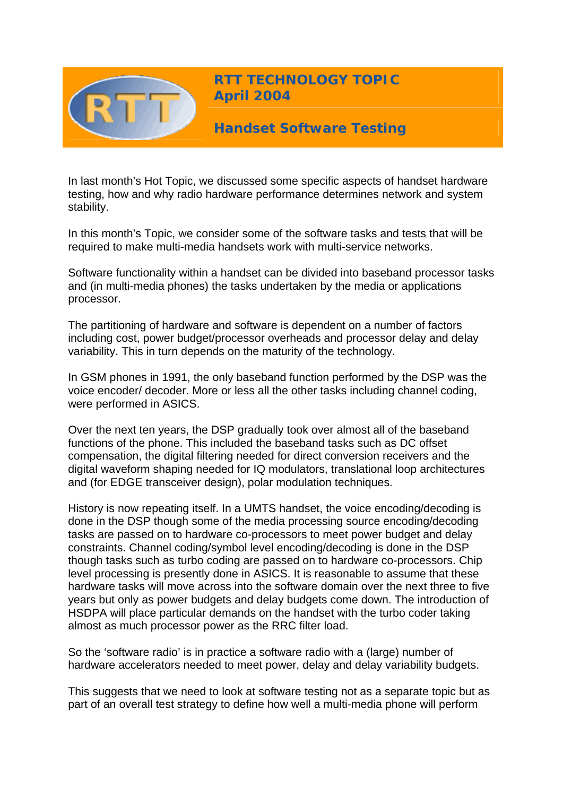

**RTT TECHNOLOGY TOPIC April 2004**

**Handset Software Testing** 

In last month's Hot Topic, we discussed some specific aspects of handset hardware testing, how and why radio hardware performance determines network and system stability.

In this month's Topic, we consider some of the software tasks and tests that will be required to make multi-media handsets work with multi-service networks.

Software functionality within a handset can be divided into baseband processor tasks and (in multi-media phones) the tasks undertaken by the media or applications processor.

The partitioning of hardware and software is dependent on a number of factors including cost, power budget/processor overheads and processor delay and delay variability. This in turn depends on the maturity of the technology.

In GSM phones in 1991, the only baseband function performed by the DSP was the voice encoder/ decoder. More or less all the other tasks including channel coding, were performed in ASICS.

Over the next ten years, the DSP gradually took over almost all of the baseband functions of the phone. This included the baseband tasks such as DC offset compensation, the digital filtering needed for direct conversion receivers and the digital waveform shaping needed for IQ modulators, translational loop architectures and (for EDGE transceiver design), polar modulation techniques.

History is now repeating itself. In a UMTS handset, the voice encoding/decoding is done in the DSP though some of the media processing source encoding/decoding tasks are passed on to hardware co-processors to meet power budget and delay constraints. Channel coding/symbol level encoding/decoding is done in the DSP though tasks such as turbo coding are passed on to hardware co-processors. Chip level processing is presently done in ASICS. It is reasonable to assume that these hardware tasks will move across into the software domain over the next three to five years but only as power budgets and delay budgets come down. The introduction of HSDPA will place particular demands on the handset with the turbo coder taking almost as much processor power as the RRC filter load.

So the 'software radio' is in practice a software radio with a (large) number of hardware accelerators needed to meet power, delay and delay variability budgets.

This suggests that we need to look at software testing not as a separate topic but as part of an overall test strategy to define how well a multi-media phone will perform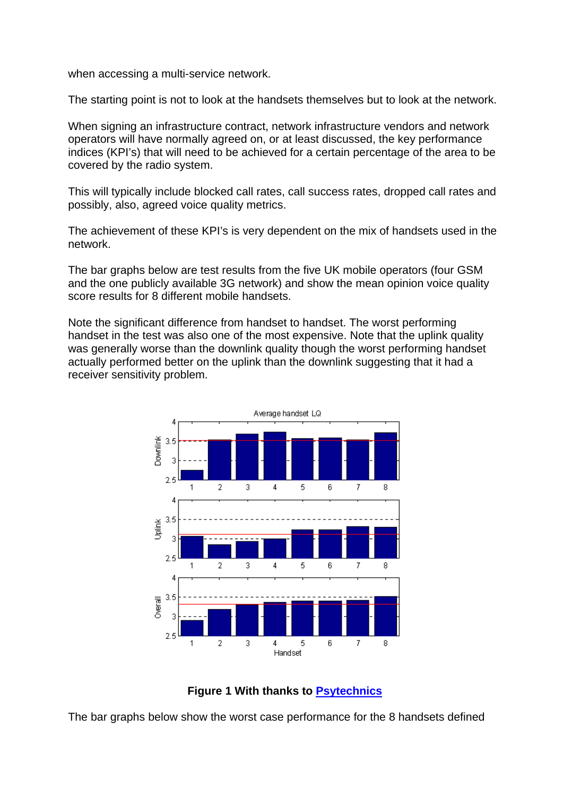when accessing a multi-service network.

The starting point is not to look at the handsets themselves but to look at the network.

When signing an infrastructure contract, network infrastructure vendors and network operators will have normally agreed on, or at least discussed, the key performance indices (KPI's) that will need to be achieved for a certain percentage of the area to be covered by the radio system.

This will typically include blocked call rates, call success rates, dropped call rates and possibly, also, agreed voice quality metrics.

The achievement of these KPI's is very dependent on the mix of handsets used in the network.

The bar graphs below are test results from the five UK mobile operators (four GSM and the one publicly available 3G network) and show the mean opinion voice quality score results for 8 different mobile handsets.

Note the significant difference from handset to handset. The worst performing handset in the test was also one of the most expensive. Note that the uplink quality was generally worse than the downlink quality though the worst performing handset actually performed better on the uplink than the downlink suggesting that it had a receiver sensitivity problem.





The bar graphs below show the worst case performance for the 8 handsets defined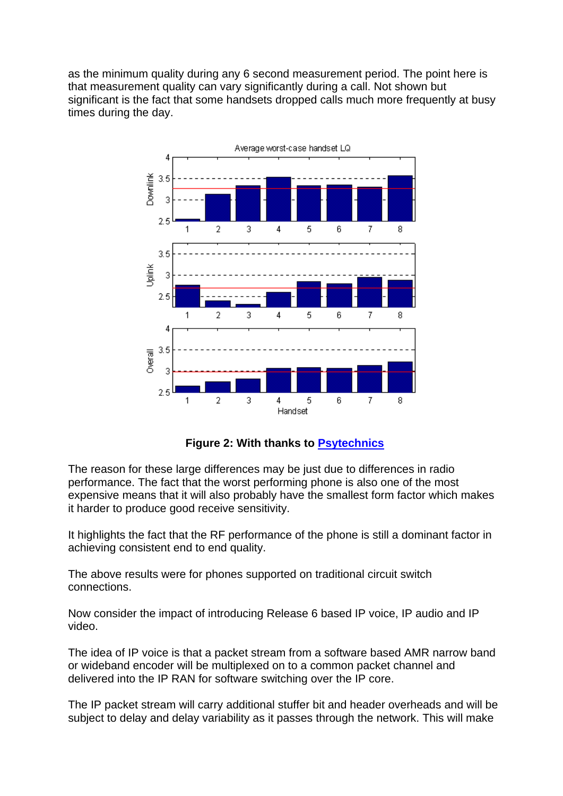as the minimum quality during any 6 second measurement period. The point here is that measurement quality can vary significantly during a call. Not shown but significant is the fact that some handsets dropped calls much more frequently at busy times during the day.



**Figure 2: With thanks to [Psytechnics](http://www.psytechnics.com/page.php?id=home)**

The reason for these large differences may be just due to differences in radio performance. The fact that the worst performing phone is also one of the most expensive means that it will also probably have the smallest form factor which makes it harder to produce good receive sensitivity.

It highlights the fact that the RF performance of the phone is still a dominant factor in achieving consistent end to end quality.

The above results were for phones supported on traditional circuit switch connections.

Now consider the impact of introducing Release 6 based IP voice, IP audio and IP video.

The idea of IP voice is that a packet stream from a software based AMR narrow band or wideband encoder will be multiplexed on to a common packet channel and delivered into the IP RAN for software switching over the IP core.

The IP packet stream will carry additional stuffer bit and header overheads and will be subject to delay and delay variability as it passes through the network. This will make